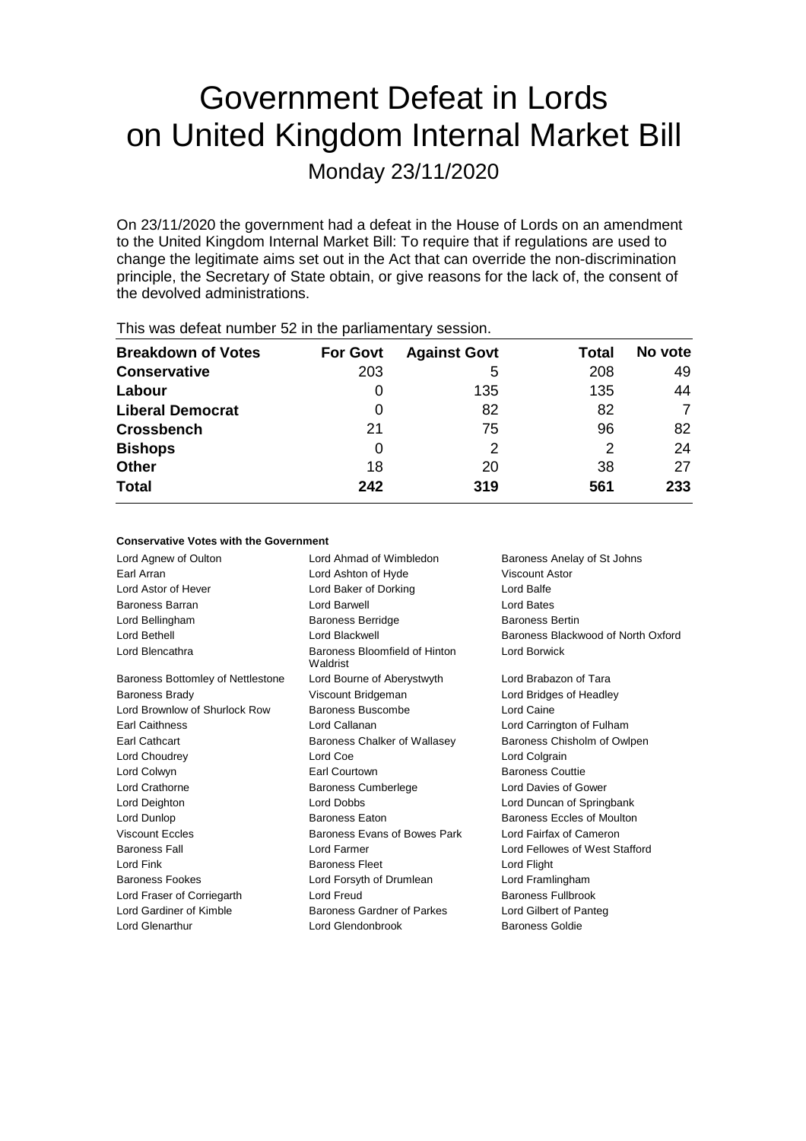# Government Defeat in Lords on United Kingdom Internal Market Bill

Monday 23/11/2020

On 23/11/2020 the government had a defeat in the House of Lords on an amendment to the United Kingdom Internal Market Bill: To require that if regulations are used to change the legitimate aims set out in the Act that can override the non-discrimination principle, the Secretary of State obtain, or give reasons for the lack of, the consent of the devolved administrations.

| $1.110$ $1.000$ and the stationaries are $0.000$ in the position of the stationary of $0.000$ |                 |                     |       |         |  |  |  |
|-----------------------------------------------------------------------------------------------|-----------------|---------------------|-------|---------|--|--|--|
| <b>Breakdown of Votes</b>                                                                     | <b>For Govt</b> | <b>Against Govt</b> | Total | No vote |  |  |  |
| <b>Conservative</b>                                                                           | 203             | 5                   | 208   | 49      |  |  |  |
| Labour                                                                                        |                 | 135                 | 135   | 44      |  |  |  |
| <b>Liberal Democrat</b>                                                                       | O               | 82                  | 82    | 7       |  |  |  |
| <b>Crossbench</b>                                                                             | 21              | 75                  | 96    | 82      |  |  |  |
| <b>Bishops</b>                                                                                | 0               | 2                   | 2     | 24      |  |  |  |
| <b>Other</b>                                                                                  | 18              | 20                  | 38    | 27      |  |  |  |
| <b>Total</b>                                                                                  | 242             | 319                 | 561   | 233     |  |  |  |
|                                                                                               |                 |                     |       |         |  |  |  |

This was defeat number 52 in the parliamentary session.

### **Conservative Votes with the Government**

| Lord Agnew of Oulton              | Lord Ahmad of Wimbledon                   | Baroness Anelay of St Johns        |
|-----------------------------------|-------------------------------------------|------------------------------------|
| Earl Arran                        | Lord Ashton of Hyde                       | Viscount Astor                     |
| Lord Astor of Hever               | Lord Baker of Dorking                     | Lord Balfe                         |
| Baroness Barran                   | Lord Barwell                              | Lord Bates                         |
| Lord Bellingham                   | <b>Baroness Berridge</b>                  | <b>Baroness Bertin</b>             |
| Lord Bethell                      | Lord Blackwell                            | Baroness Blackwood of North Oxford |
| Lord Blencathra                   | Baroness Bloomfield of Hinton<br>Waldrist | Lord Borwick                       |
| Baroness Bottomley of Nettlestone | Lord Bourne of Aberystwyth                | Lord Brabazon of Tara              |
| <b>Baroness Brady</b>             | Viscount Bridgeman                        | Lord Bridges of Headley            |
| Lord Brownlow of Shurlock Row     | Baroness Buscombe                         | Lord Caine                         |
| <b>Earl Caithness</b>             | Lord Callanan                             | Lord Carrington of Fulham          |
| Earl Cathcart                     | Baroness Chalker of Wallasey              | Baroness Chisholm of Owlpen        |
| Lord Choudrey                     | Lord Coe                                  | Lord Colgrain                      |
| Lord Colwyn                       | Earl Courtown                             | <b>Baroness Couttie</b>            |
| Lord Crathorne                    | <b>Baroness Cumberlege</b>                | Lord Davies of Gower               |
| Lord Deighton                     | <b>Lord Dobbs</b>                         | Lord Duncan of Springbank          |
| Lord Dunlop                       | <b>Baroness Eaton</b>                     | Baroness Eccles of Moulton         |
| <b>Viscount Eccles</b>            | Baroness Evans of Bowes Park              | Lord Fairfax of Cameron            |
| <b>Baroness Fall</b>              | Lord Farmer                               | Lord Fellowes of West Stafford     |
| Lord Fink                         | <b>Baroness Fleet</b>                     | Lord Flight                        |
| <b>Baroness Fookes</b>            | Lord Forsyth of Drumlean                  | Lord Framlingham                   |
| Lord Fraser of Corriegarth        | Lord Freud                                | Baroness Fullbrook                 |
| Lord Gardiner of Kimble           | Baroness Gardner of Parkes                | Lord Gilbert of Panteg             |
| Lord Glenarthur                   | Lord Glendonbrook                         | <b>Baroness Goldie</b>             |
|                                   |                                           |                                    |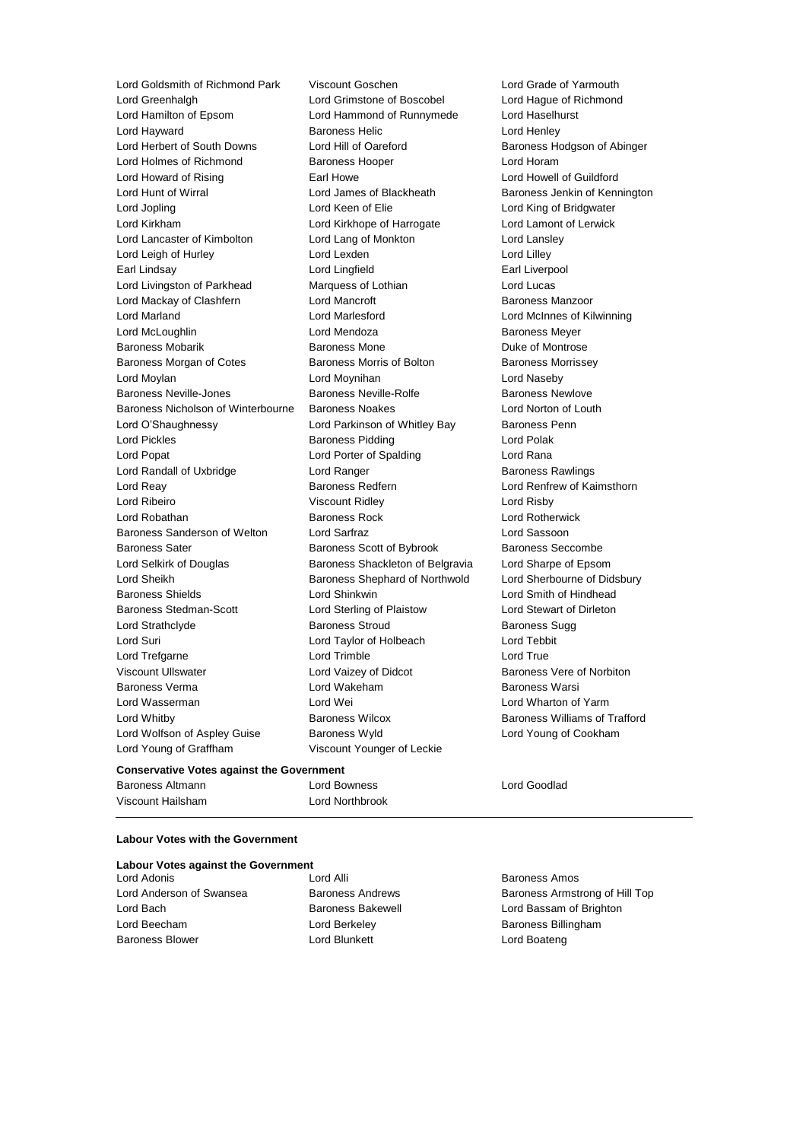Lord Greenhalgh Lord Grimstone of Boscobel Lord Hague of Richmond Lord Hamilton of Epsom Lord Hammond of Runnymede Lord Haselhurst Lord Hayward **Baroness Helic** Lord Henley Lord Herbert of South Downs Lord Hill of Oareford Baroness Hodgson of Abinger Lord Holmes of Richmond Baroness Hooper Lord Horam Lord Howard of Rising **Earl Howe** Earl Howe Lord Howell of Guildford Lord Hunt of Wirral **Lord James of Blackheath** Baroness Jenkin of Kennington Lord Jopling **Lord Communist Communist Communist Communist Communist Communist Communist Communist Communist Communist Communist Communist Communist Communist Communist Communist Communist Communist Communist Communist Com** Lord Kirkham Lord Kirkhope of Harrogate Lord Lamont of Lerwick Lord Lancaster of Kimbolton Lord Lang of Monkton Lord Lansley Lord Leigh of Hurley **Lord Lord Lexden** Lord Lord Lilley Earl Lindsay Lord Lingfield Earl Liverpool Lord Livingston of Parkhead Marquess of Lothian Marquess of Lothian Lord Lucas Lord Mackay of Clashfern Lord Mancroft Baroness Manzoor Lord Marland Lord Marlesford Lord McInnes of Kilwinning Lord McLoughlin Lord Mendoza Baroness Meyer Baroness Mobarik **Baroness Mone** Baroness Mone **Duke of Montrose** Baroness Morgan of Cotes **Baroness Morris of Bolton** Baroness Morrissey Lord Moylan Lord Moynihan Lord Naseby Baroness Neville-Jones **Baroness Neville-Rolfe** Baroness Newlove Baroness Nicholson of Winterbourne Baroness Noakes Lord Norton of Louth Lord O'Shaughnessy **Lord Parkinson of Whitley Bay** Baroness Penn Lord Pickles **Baroness Pidding Lord Polak** Lord Polak Lord Popat Lord Porter of Spalding Lord Rana Lord Randall of Uxbridge The Lord Ranger Corp. 2012 Baroness Rawlings Lord Reay Baroness Redfern Lord Renfrew of Kaimsthorn Lord Ribeiro Viscount Ridley Lord Risby Lord Robathan Baroness Rock Lord Rotherwick Baroness Sanderson of Welton Lord Sarfraz Lord Sassoon Baroness Sater **Baroness Scott of Bybrook** Baroness Seccombe Lord Selkirk of Douglas Baroness Shackleton of Belgravia Lord Sharpe of Epsom Lord Sheikh **Baroness Shephard of Northwold** Lord Sherbourne of Didsbury Baroness Shields Lord Shinkwin Lord Smith of Hindhead Baroness Stedman-Scott Lord Sterling of Plaistow Lord Stewart of Dirleton Lord Strathclyde Baroness Stroud Baroness Sugg Lord Suri Lord Taylor of Holbeach Lord Tebbit Lord Trefgarne **Lord Trimble** Lord Trimble **Lord True** Viscount Ullswater Lord Vaizey of Didcot Baroness Vere of Norbiton Baroness Verma **Lord Wakeham** Baroness Warsi Lord Wasserman Lord Wei Lord Wharton of Yarm Lord Whitby **Baroness Wilcox** Baroness Wilcox **Baroness Williams of Trafford** Lord Wolfson of Aspley Guise Baroness Wyld Lord Young of Cookham Lord Young of Graffham Viscount Younger of Leckie

Lord Goldsmith of Richmond Park Viscount Goschen Lord Grade of Yarmouth

#### **Conservative Votes against the Government**

Baroness Altmann Lord Bowness Lord Goodlad Viscount Hailsham Lord Northbrook

#### **Labour Votes with the Government**

|  |  |  |  | <b>Labour Votes against the Government</b> |
|--|--|--|--|--------------------------------------------|
|--|--|--|--|--------------------------------------------|

Lord Adonis Lord Alli Baroness Amos Lord Beecham **Lord Berkeley Baroness Billingham** Baroness Blower **Lord Blunkett** Lord Boateng Lord Boateng

Lord Anderson of Swansea Baroness Andrews Baroness Armstrong of Hill Top Lord Bach Baroness Bakewell Lord Bassam of Brighton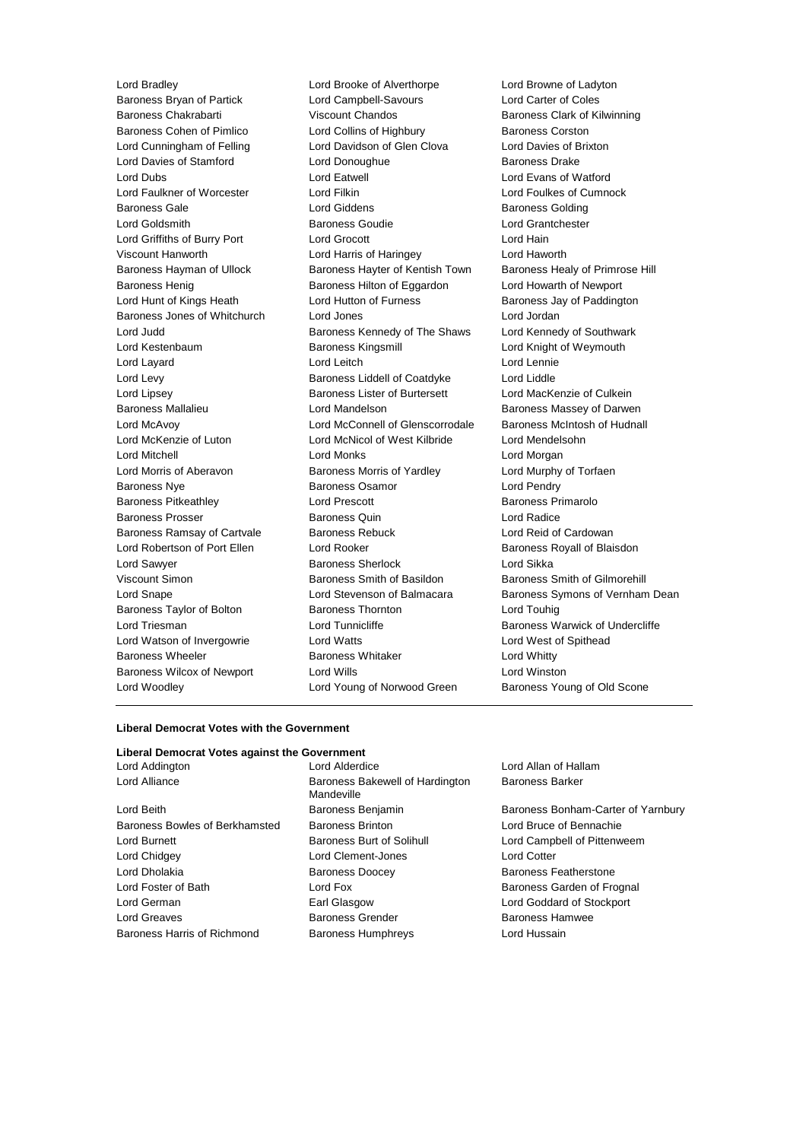Lord Bradley Lord Brooke of Alverthorpe Lord Browne of Ladyton Baroness Bryan of Partick Lord Campbell-Savours Lord Carter of Coles Baroness Chakrabarti Viscount Chandos Baroness Clark of Kilwinning Baroness Cohen of Pimlico **Lord Collins of Highbury** Baroness Corston Lord Cunningham of Felling Lord Davidson of Glen Clova Lord Davies of Brixton Lord Davies of Stamford Lord Donoughue Baroness Drake<br>
Lord Dubs<br>
Lord Exans of W Lord Eatwell **Lord Evans of Watford** Lord Faulkner of Worcester Lord Filkin Lord Foulkes of Cumnock Baroness Gale **Lord Giddens** Baroness Golding Lord Goldsmith Baroness Goudie Lord Grantchester Lord Griffiths of Burry Port Lord Grocott Lord Hain Viscount Hanworth Lord Harris of Haringey Lord Haworth Baroness Hayman of Ullock Baroness Hayter of Kentish Town Baroness Healy of Primrose Hill Baroness Henig Baroness Hilton of Eggardon Lord Howarth of Newport Lord Hunt of Kings Heath Lord Hutton of Furness Baroness Jay of Paddington Baroness Jones of Whitchurch Lord Jones Lord Jordan Lord Judd **Baroness Kennedy of The Shaws** Lord Kennedy of Southwark Lord Kestenbaum Baroness Kingsmill Lord Knight of Weymouth Lord Layard **Lord Leitch** Lord Leitch **Lord Lennie** Lord Levy Baroness Liddell of Coatdyke Lord Liddle Lord Lipsey **Baroness Lister of Burtersett** Lord MacKenzie of Culkein Baroness Mallalieu **Baroness Mandelson** Lord Mandelson Baroness Massey of Darwen Lord McAvoy Lord McConnell of Glenscorrodale Baroness McIntosh of Hudnall Lord McKenzie of Luton Lord McNicol of West Kilbride Lord Mendelsohn Lord Mitchell Lord Monks Lord Morgan Lord Morris of Aberavon **Baroness Morris of Yardley** Lord Murphy of Torfaen Baroness Nye **Baroness Osamor** Baroness Osamor **Lord Pendry** Baroness Pitkeathley Lord Prescott Baroness Primarolo Baroness Prosser **Baroness Quin** Baroness Quin **Lord Radice** Baroness Ramsay of Cartvale Baroness Rebuck Lord Reid of Cardowan Lord Robertson of Port Ellen Lord Rooker **Baroness Royall of Blaisdon** Lord Sawyer **Baroness Sherlock** Lord Sikka Viscount Simon Baroness Smith of Basildon Baroness Smith of Gilmorehill Baroness Taylor of Bolton Baroness Thornton Lord Touhig Lord Triesman **Lord Tunnicliffe** Baroness Warwick of Undercliffe Lord Watson of Invergowrie Lord Watts Lord West of Spithead Baroness Wheeler **Baroness Whitaker** Lord Whitty Baroness Wilcox of Newport Lord Wills Lord Winston Lord Woodley **Lord Young of Norwood Green** Baroness Young of Old Scone

**Bakewell of Hardington** 

Lord Snape Lord Stevenson of Balmacara Baroness Symons of Vernham Dean

#### **Liberal Democrat Votes with the Government**

#### **Liberal Democrat Votes against the Government**

| Lord Alder               |
|--------------------------|
| Baroness I<br>Mandeville |
| Baroness I               |
| Baroness I               |
| Baroness I               |
| Lord Clem                |
| Baroness I               |
| Lord Fox                 |
| Earl Glasg               |
| Baroness <sup>(</sup>    |
| Baroness I               |
|                          |

d Alderdice **Lord Allan of Hallam** Baroness Barker

Benjamin Baroness Bonham-Carter of Yarnbury Brinton **Baroness Brinton** Lord Bruce of Bennachie Burt of Solihull **Burnett Baroness Burnett Baroness Burnett Baroness Burnett Baroness Burnett Baroness Burnett B** nent-Jones Lord Cotter **Doocey** Baroness Featherstone Baroness Garden of Frognal a a lord Goddard of Stockport Extender Grender Baroness Hamwee Humphreys Lord Hussain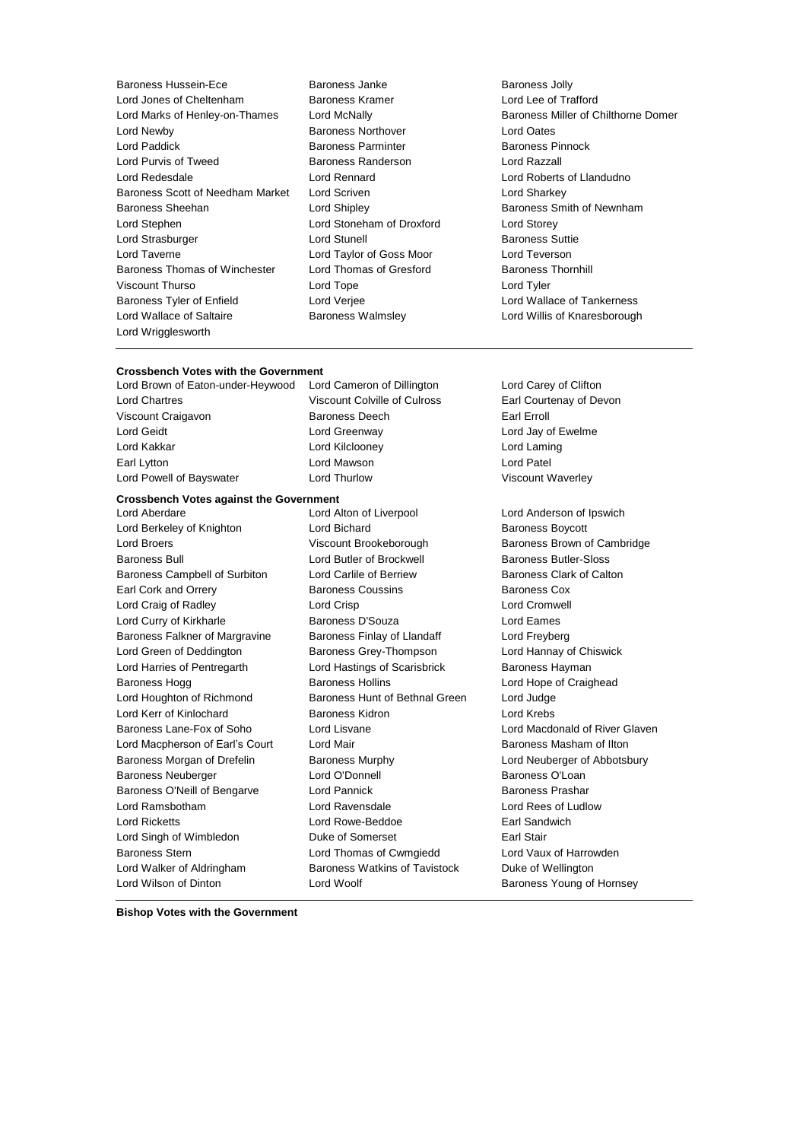- Baroness Hussein-Ece **Baroness** Janke Baroness Janke Baroness Jolly Lord Jones of Cheltenham Baroness Kramer Lord Lee of Trafford Lord Marks of Henley-on-Thames Lord McNally Baroness Miller of Chilthorne Domer Lord Newby Baroness Northover Lord Oates Lord Paddick Baroness Parminter Baroness Pinnock Lord Purvis of Tweed Baroness Randerson Lord Razzall Lord Redesdale Lord Rennard Lord Roberts of Llandudno Baroness Scott of Needham Market Lord Scriven Lord Sharkey Baroness Sheehan **Lord Shipley Baroness Smith of Newnham** Lord Stephen Lord Stoneham of Droxford Lord Storey Lord Strasburger Lord Stunell Baroness Suttie Lord Taverne Lord Taylor of Goss Moor Lord Teverson Baroness Thomas of Winchester Lord Thomas of Gresford Baroness Thornhill Viscount Thurso Lord Tope Lord Tyler Baroness Tyler of Enfield Lord Verjee Lord Versee Lord Wallace of Tankerness Lord Wallace of Saltaire Baroness Walmsley Lord Willis of Knaresborough Lord Wrigglesworth
	-
- 

## **Crossbench Votes with the Government**<br>
Lord Brown of Eaton-under-Heywood Lord Cameron of Dillington

Lord Chartres Viscount Colville of Culross Earl Courtenay of Devon Viscount Craigavon **Baroness Deech** Earl Erroll Lord Geidt **Lord Greenway** Lord Greenway **Lord Jay of Ewelme** Lord Kakkar Lord Kilclooney Lord Laming Earl Lytton **Lord Mawson** Constants Lord Patel Lord Powell of Bayswater **Lord Thurlow Lord Thurlow** Viscount Waverley

Lord Berkeley of Knighton **Lord Bichard Baroness Boycott** Lord Broers **Example 2** Viscount Brookeborough Baroness Brown of Cambridge Baroness Bull Lord Butler of Brockwell Baroness Butler-Sloss Baroness Campbell of Surbiton Lord Carlile of Berriew Baroness Clark of Calton Earl Cork and Orrery Baroness Coussins Baroness Cox Lord Craig of Radley Lord Crisp Lord Cromwell Lord Curry of Kirkharle Baroness D'Souza Lord Eames Baroness Falkner of Margravine Baroness Finlay of Llandaff Lord Freyberg Lord Green of Deddington Baroness Grey-Thompson Lord Hannay of Chiswick Lord Harries of Pentregarth **Lord Hastings of Scarisbrick** Baroness Hayman Baroness Hogg **Baroness Hollins** Baroness Hollins **Lord Hope of Craighead** Lord Houghton of Richmond Baroness Hunt of Bethnal Green Lord Judge Lord Kerr of Kinlochard Baroness Kidron Lord Krebs Baroness Lane-Fox of Soho Lord Lisvane Lord Macdonald of River Glaven Lord Macpherson of Earl's Court Lord Mair **Baroness Masham of Ilton** Baroness Morgan of Drefelin Baroness Murphy Lord Neuberger of Abbotsbury Baroness Neuberger Lord O'Donnell Baroness O'Loan Baroness O'Neill of Bengarve Lord Pannick **Baroness Prashar** Baroness Prashar Lord Ramsbotham Lord Ravensdale Lord Rees of Ludlow Lord Ricketts Lord Rowe-Beddoe Earl Sandwich Lord Singh of Wimbledon Duke of Somerset Earl Stair Baroness Stern Lord Thomas of Cwmgiedd Lord Vaux of Harrowden Lord Walker of Aldringham Baroness Watkins of Tavistock Duke of Wellington

Lord Brown of Eaton-under-Heywood Lord Cameron of Dillington Lord Carey of Clifton

**Crossbench Votes against the Government** Lord Aberdare Lord Alton of Liverpool Lord Anderson of Ipswich Lord Wilson of Dinton **Lord Woolf Conserverse Conserverse Conserverse Conserverse Conserverse Conserverse Conserverse Conserverse Conserverse Conserverse Conserverse Conserverse Conserverse Conserverse Conserverse Conser** 

**Bishop Votes with the Government**